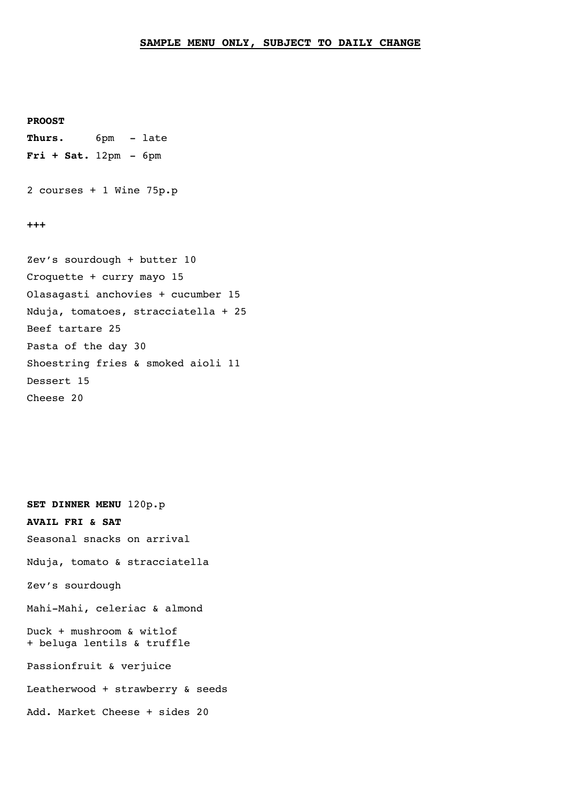## **SAMPLE MENU ONLY, SUBJECT TO DAILY CHANGE**

**PROOST**

**Thurs.** 6pm - late **Fri + Sat.** 12pm - 6pm

2 courses + 1 Wine 75p.p

**+++**

Zev's sourdough + butter 10 Croquette + curry mayo 15 Olasagasti anchovies + cucumber 15 Nduja, tomatoes, stracciatella + 25 Beef tartare 25 Pasta of the day 30 Shoestring fries & smoked aioli 11 Dessert 15 Cheese 20

**SET DINNER MENU** 120p.p **AVAIL FRI & SAT** Seasonal snacks on arrival Nduja, tomato & stracciatella Zev's sourdough Mahi-Mahi, celeriac & almond Duck + mushroom & witlof + beluga lentils & truffle Passionfruit & verjuice Leatherwood + strawberry & seeds Add. Market Cheese + sides 20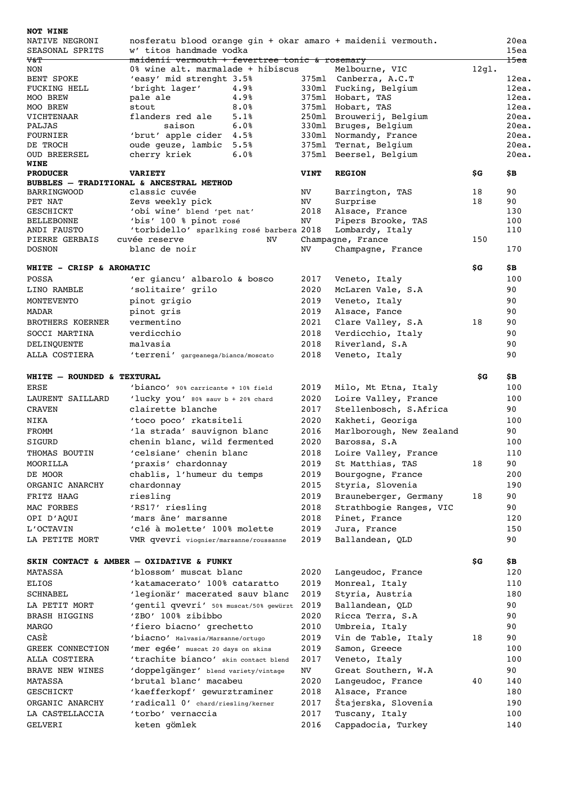| NOT WINE                                                                 |                                                                                                 |              |      |                                                 |       |                         |  |  |  |  |
|--------------------------------------------------------------------------|-------------------------------------------------------------------------------------------------|--------------|------|-------------------------------------------------|-------|-------------------------|--|--|--|--|
| NATIVE NEGRONI<br>SEASONAL SPRITS                                        | nosferatu blood orange gin + okar amaro + maidenii vermouth.<br>20ea<br>w' titos handmade vodka |              |      |                                                 |       |                         |  |  |  |  |
| V&T                                                                      | maidenii vermouth + fevertree tonic & rosemary                                                  |              |      |                                                 |       | 15ea<br><del>15ea</del> |  |  |  |  |
| NON                                                                      | 0% wine alt. marmalade + hibiscus                                                               |              |      | Melbourne, VIC                                  | 12gl. |                         |  |  |  |  |
| BENT SPOKE                                                               | 'easy' mid strenght 3.5%                                                                        |              |      | 375ml Canberra, A.C.T                           |       | 12ea.                   |  |  |  |  |
| <b>FUCKING HELL</b>                                                      | 'bright lager'                                                                                  | 4.9%         |      | 330ml Fucking, Belgium                          |       | 12ea.                   |  |  |  |  |
| MOO BREW                                                                 | pale ale                                                                                        | 4.9%         |      | 375ml Hobart, TAS                               |       | 12ea.                   |  |  |  |  |
| MOO BREW                                                                 | stout                                                                                           | 8.0%         |      | 375ml Hobart, TAS                               |       | 12ea.                   |  |  |  |  |
| VICHTENAAR                                                               | flanders red ale                                                                                | 5.1%         |      | 250ml Brouwerij, Belgium                        |       | 20ea.                   |  |  |  |  |
| PALJAS<br>FOURNIER                                                       | saison                                                                                          | 6.0%<br>4.5% |      | 330ml Bruges, Belgium<br>330ml Normandy, France |       | 20ea.<br>20ea.          |  |  |  |  |
| DE TROCH                                                                 | 'brut' apple cider<br>oude geuze, lambic 5.5%                                                   |              |      | 375ml Ternat, Belgium                           |       | 20ea.                   |  |  |  |  |
| <b>OUD BREERSEL</b>                                                      | cherry kriek                                                                                    | 6.0%         |      | 375ml Beersel, Belgium                          |       | 20ea.                   |  |  |  |  |
| WINE                                                                     |                                                                                                 |              |      |                                                 |       |                         |  |  |  |  |
| <b>VINT</b><br>\$G<br><b>PRODUCER</b><br><b>VARIETY</b><br><b>REGION</b> |                                                                                                 |              |      |                                                 |       |                         |  |  |  |  |
|                                                                          | BUBBLES - TRADITIONAL & ANCESTRAL METHOD                                                        |              |      |                                                 |       |                         |  |  |  |  |
| <b>BARRINGWOOD</b>                                                       | classic cuvée                                                                                   |              | NV   | Barrington, TAS                                 | 18    | 90                      |  |  |  |  |
| PET NAT                                                                  | Zevs weekly pick                                                                                |              | NV   | Surprise                                        | 18    | 90                      |  |  |  |  |
| <b>GESCHICKT</b>                                                         | 'obi wine' blend 'pet nat'                                                                      |              | 2018 | Alsace, France                                  |       | 130                     |  |  |  |  |
| BELLEBONNE                                                               | 'bis' 100 % pinot rosé                                                                          |              | NV   | Pipers Brooke, TAS                              |       | 100                     |  |  |  |  |
| ANDI FAUSTO                                                              | 'torbidello' sparlking rosé barbera 2018                                                        |              |      | Lombardy, Italy                                 |       | 110                     |  |  |  |  |
| PIERRE GERBAIS<br><b>DOSNON</b>                                          | cuvée reserve<br>NV<br>blanc de noir                                                            |              | NV.  | Champagne, France<br>Champagne, France          | 150   | 170                     |  |  |  |  |
|                                                                          |                                                                                                 |              |      |                                                 |       |                         |  |  |  |  |
| WHITE - CRISP & AROMATIC                                                 |                                                                                                 |              |      |                                                 | \$G   | \$В                     |  |  |  |  |
| POSSA                                                                    | 'er giancu' albarolo & bosco                                                                    |              | 2017 | Veneto, Italy                                   |       | 100                     |  |  |  |  |
| LINO RAMBLE                                                              | 'solitaire' grilo                                                                               |              | 2020 | McLaren Vale, S.A                               |       | 90                      |  |  |  |  |
| MONTEVENTO                                                               | pinot grigio                                                                                    |              | 2019 | Veneto, Italy                                   |       | 90                      |  |  |  |  |
| MADAR                                                                    | pinot gris                                                                                      |              | 2019 | Alsace, Fance                                   |       | 90                      |  |  |  |  |
| BROTHERS KOERNER                                                         | vermentino                                                                                      |              | 2021 | Clare Valley, S.A                               | 18    | 90                      |  |  |  |  |
| SOCCI MARTINA                                                            | verdicchio                                                                                      |              | 2018 | Verdicchio, Italy                               |       | 90                      |  |  |  |  |
|                                                                          | malvasia                                                                                        |              | 2018 |                                                 |       | 90                      |  |  |  |  |
| DELINQUENTE                                                              |                                                                                                 |              |      | Riverland, S.A                                  |       |                         |  |  |  |  |
| ALLA COSTIERA                                                            | 'terreni' gargeanega/bianca/moscato                                                             |              | 2018 | Veneto, Italy                                   |       | 90                      |  |  |  |  |
| WHITE - ROUNDED & TEXTURAL                                               |                                                                                                 |              |      |                                                 | \$G   | \$В                     |  |  |  |  |
| ERSE                                                                     |                                                                                                 |              | 2019 | Milo, Mt Etna, Italy                            |       | 100                     |  |  |  |  |
| LAURENT SAILLARD                                                         | 'bianco' 90% carricante + 10% field                                                             |              | 2020 |                                                 |       | 100                     |  |  |  |  |
|                                                                          | 'lucky you' 80% sauv b + 20% chard<br>clairette blanche                                         |              |      | Loire Valley, France                            |       |                         |  |  |  |  |
| <b>CRAVEN</b>                                                            |                                                                                                 |              | 2017 | Stellenbosch, S.Africa                          |       | 90                      |  |  |  |  |
| NIKA                                                                     | 'toco poco' rkatsiteli                                                                          |              | 2020 | Kakheti, Georiga                                |       | 100                     |  |  |  |  |
| FROMM                                                                    | 'la strada' sauvignon blanc                                                                     |              | 2016 | Marlborough, New Zealand                        |       | 90                      |  |  |  |  |
| SIGURD                                                                   | chenin blanc, wild fermented                                                                    |              | 2020 | Barossa, S.A                                    |       | 100                     |  |  |  |  |
| THOMAS BOUTIN                                                            | 'celsiane' chenin blanc                                                                         |              | 2018 | Loire Valley, France                            |       | 110                     |  |  |  |  |
| MOORILLA                                                                 | 'praxis' chardonnay                                                                             |              | 2019 | St Matthias, TAS                                | 18    | 90                      |  |  |  |  |
| DE MOOR                                                                  | chablis, l'humeur du temps                                                                      |              | 2019 | Bourgogne, France                               |       | 200                     |  |  |  |  |
| ORGANIC ANARCHY                                                          | chardonnay                                                                                      |              | 2015 | Styria, Slovenia                                |       | 190                     |  |  |  |  |
| FRITZ HAAG                                                               | riesling                                                                                        |              | 2019 | Brauneberger, Germany                           | 18    | 90                      |  |  |  |  |
| MAC FORBES                                                               | 'RS17' riesling                                                                                 |              | 2018 | Strathbogie Ranges, VIC                         |       | 90                      |  |  |  |  |
| OPI D'AQUI                                                               | 'mars âne' marsanne                                                                             |              | 2018 | Pinet, France                                   |       | 120                     |  |  |  |  |
| L'OCTAVIN                                                                | 'clé à molette' 100% molette                                                                    |              | 2019 | Jura, France                                    |       | 150                     |  |  |  |  |
| LA PETITE MORT                                                           | VMR qvevri viognier/marsanne/roussanne                                                          |              | 2019 | Ballandean, QLD                                 |       | 90                      |  |  |  |  |
|                                                                          |                                                                                                 |              |      |                                                 |       |                         |  |  |  |  |
|                                                                          | SKIN CONTACT & AMBER - OXIDATIVE & FUNKY                                                        |              |      |                                                 | \$G   | \$В                     |  |  |  |  |
| <b>MATASSA</b>                                                           | 'blossom' muscat blanc                                                                          |              | 2020 | Langeudoc, France                               |       | 120                     |  |  |  |  |
| ELIOS                                                                    | 'katamacerato' 100% cataratto                                                                   |              | 2019 | Monreal, Italy                                  |       | 110                     |  |  |  |  |
| SCHNABEL                                                                 | 'legionär' macerated sauv blanc                                                                 |              | 2019 | Styria, Austria                                 |       | 180                     |  |  |  |  |
| LA PETIT MORT                                                            | 'gentil qvevri' 50% muscat/50% gewürzt                                                          |              | 2019 | Ballandean, QLD                                 |       | 90                      |  |  |  |  |
| <b>BRASH HIGGINS</b>                                                     | 'ZBO' 100% zibibbo                                                                              |              | 2020 | Ricca Terra, S.A                                |       | 90                      |  |  |  |  |
| MARGO                                                                    | 'fiero biacno' grechetto                                                                        |              | 2010 | Umbreia, Italy                                  |       | 90                      |  |  |  |  |
| CASE                                                                     | 'biacno' Malvasia/Marsanne/ortugo                                                               |              | 2019 | Vin de Table, Italy                             | 18    | 90                      |  |  |  |  |
|                                                                          |                                                                                                 |              | 2019 |                                                 |       | 100                     |  |  |  |  |
| GREEK CONNECTION                                                         | 'mer egée' muscat 20 days on skins                                                              |              |      | Samon, Greece                                   |       |                         |  |  |  |  |
| ALLA COSTIERA                                                            | 'trachite bianco' skin contact blend                                                            |              | 2017 | Veneto, Italy                                   |       | 100                     |  |  |  |  |
| BRAVE NEW WINES                                                          | 'doppelgänger' blend variety/vintage                                                            |              | NV   | Great Southern, W.A                             |       | 90                      |  |  |  |  |
| MATASSA                                                                  | 'brutal blanc' macabeu                                                                          |              | 2020 | Langeudoc, France                               | 40    | 140                     |  |  |  |  |
| GESCHICKT                                                                | 'kaefferkopf' gewurztraminer                                                                    |              | 2018 | Alsace, France                                  |       | 180                     |  |  |  |  |
| ORGANIC ANARCHY                                                          | 'radicall 0' chard/riesling/kerner                                                              |              | 2017 | Štajerska, Slovenia                             |       | 190                     |  |  |  |  |
| LA CASTELLACCIA                                                          | 'torbo' vernaccia                                                                               |              | 2017 | Tuscany, Italy                                  |       | 100                     |  |  |  |  |
| GELVERI                                                                  | keten gömlek                                                                                    |              | 2016 | Cappadocia, Turkey                              |       | 140                     |  |  |  |  |